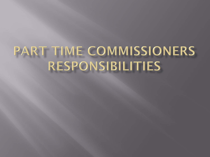# PART TIME COMMISSIONERS **RESPONSIBILITIES**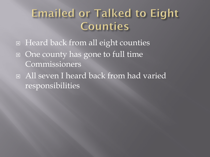### **Emailed or Talked to Eight** Counties

- □ Heard back from all eight counties
- One county has gone to full time Commissioners
- All seven I heard back from had varied responsibilities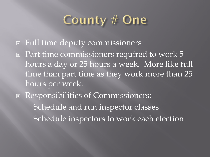### County # One

- Full time deputy commissioners
- $\Box$  Part time commissioners required to work 5 hours a day or 25 hours a week. More like full time than part time as they work more than 25 hours per week.
- Responsibilities of Commissioners: Schedule and run inspector classes Schedule inspectors to work each election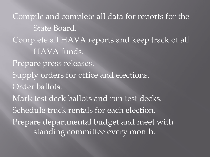Compile and complete all data for reports for the State Board. Complete all HAVA reports and keep track of all HAVA funds. Prepare press releases. Supply orders for office and elections. Order ballots. Mark test deck ballots and run test decks. Schedule truck rentals for each election. Prepare departmental budget and meet with standing committee every month.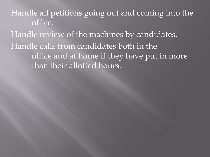Handle all petitions going out and coming into the office.

Handle review of the machines by candidates. Handle calls from candidates both in the office and at home if they have put in more than their allotted hours.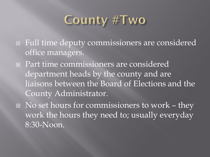### County #Two

- Full time deputy commissioners are considered office managers.
- Part time commissioners are considered department heads by the county and are liaisons between the Board of Elections and the County Administrator.
- □ No set hours for commissioners to work they work the hours they need to; usually everyday 8:30-Noon.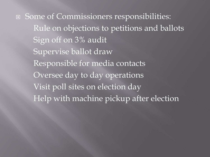Some of Commissioners responsibilities: Rule on objections to petitions and ballots Sign off on 3% audit Supervise ballot draw Responsible for media contacts Oversee day to day operations Visit poll sites on election day Help with machine pickup after election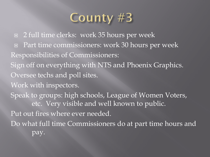$\Box$  2 full time clerks: work 35 hours per week Part time commissioners: work 30 hours per week Responsibilities of Commissioners: Sign off on everything with NTS and Phoenix Graphics. Oversee techs and poll sites. Work with inspectors. Speak to groups: high schools, League of Women Voters, etc. Very visible and well known to public. Put out fires where ever needed. Do what full time Commissioners do at part time hours and pay.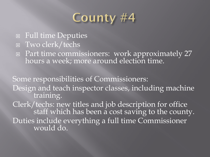- Full time Deputies
- Two clerk/techs
- □ Part time commissioners: work approximately 27 hours a week; more around election time.

Some responsibilities of Commissioners: Design and teach inspector classes, including machine training. Clerk/techs: new titles and job description for office<br>staff which has been a cost saving to the county. Duties include everything a full time Commissioner would do.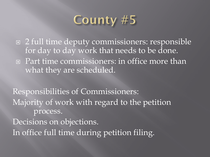

 $\Box$  2 full time deputy commissioners: responsible for day to day work that needs to be done. **Part time commissioners: in office more than** what they are scheduled.

Responsibilities of Commissioners: Majority of work with regard to the petition process. Decisions on objections. In office full time during petition filing.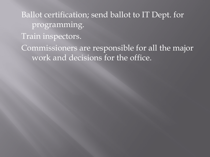Ballot certification; send ballot to IT Dept. for programming.

Train inspectors.

Commissioners are responsible for all the major work and decisions for the office.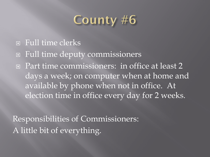- Full time clerks
- Full time deputy commissioners
- □ Part time commissioners: in office at least 2 days a week; on computer when at home and available by phone when not in office. At election time in office every day for 2 weeks.

Responsibilities of Commissioners: A little bit of everything.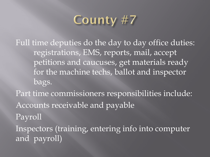Full time deputies do the day to day office duties: registrations, EMS, reports, mail, accept petitions and caucuses, get materials ready for the machine techs, ballot and inspector bags. Part time commissioners responsibilities include: Accounts receivable and payable

Payroll

Inspectors (training, entering info into computer and payroll)